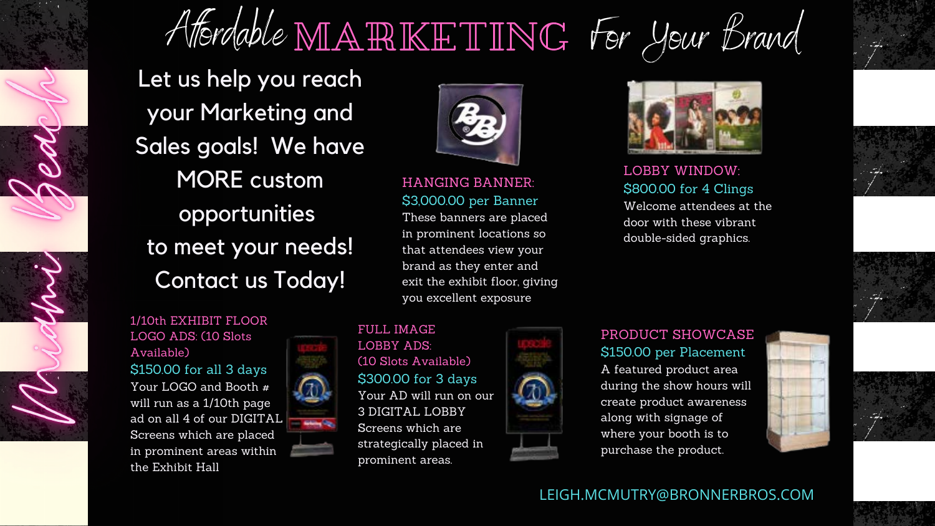

# Affordable  $M\mathbb{A}\mathbb{R}\mathbb{K}\mathbb{H}$  TING For Your Brand

1/10th EXHIBIT FLOOR LOGO ADS: (10 Slots Available) \$150.00 for all 3 days Your LOGO and Booth # will run as a 1/10th page ad on all 4 of our DIGITAL Screens which are placed in prominent areas within the Exhibit Hall



HANGING BANNER: \$3,000.00 per Banner

These banners are placed in prominent locations so that attendees view your brand as they enter and exit the exhibit floor, giving you excellent exposure

LOBBY WINDOW: \$800.00 for 4 Clings Welcome attendees at the door with these vibrant double-sided graphics.





#### PRODUCT SHOWCASE \$150.00 per Placement

A featured product area during the show hours will create product awareness along with signage of where your booth is to purchase the product.





FULL IMAGE LOBBY ADS: (10 Slots Available) \$300.00 for 3 days Your AD will run on our 3 DIGITAL LOBBY Screens which are strategically placed in prominent areas.





Let us help you reach your Marketing and Sales goals! We have MORE custom opportunities to meet your needs! Contact us Today!



#### LEIGH.MCMUTRY@BRONNERBROS.COM